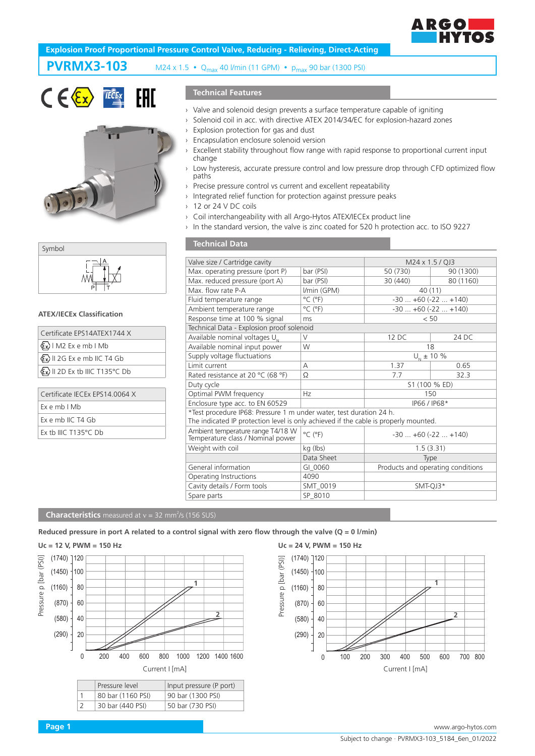

# **Explosion Proof Proportional Pressure Control Valve, Reducing - Relieving, Direct-Acting**

# **PVRMX3-103** M24 x 1.5  $\cdot$  Q<sub>max</sub> 40 l/min (11 GPM)  $\cdot$  p<sub>max</sub> 90 bar (1300 PSI)







#### **ATEX/IECEx Classification**

| Certificate EPS14ATEX1744 X                 |
|---------------------------------------------|
| $\langle x \rangle$   M2 Ex e mb   Mb       |
| $\langle x \rangle$ II 2G Ex e mb IIC T4 Gb |
| <b>Ex&gt;II 2D Ex tb IIIC T135°C Db</b>     |
|                                             |
| Certificate IECEx EPS14.0064 X              |
| Ex e mb I Mb                                |

| $Ex$ e mb $I$ Mb               |
|--------------------------------|
| Ex e mb IIC T4 Gb              |
| Ex th IIIC T135 $\degree$ C Db |

# **Technical Features**

- › Valve and solenoid design prevents a surface temperature capable of igniting
- › Solenoid coil in acc. with directive ATEX 2014/34/EC for explosion-hazard zones
- › Explosion protection for gas and dust
- Encapsulation enclosure solenoid version
- Excellent stability throughout flow range with rapid response to proportional current input change
- › Low hysteresis, accurate pressure control and low pressure drop through CFD optimized flow paths
- Precise pressure control vs current and excellent repeatability
- › Integrated relief function for protection against pressure peaks
- › 12 or 24 V DC coils

**Technical Data**

- › Coil interchangeability with all Argo-Hytos ATEX/IECEx product line
- › In the standard version, the valve is zinc coated for 520 h protection acc. to ISO 9227

| Valve size / Cartridge cavity                                                        |                              | M24 x 1.5 / QJ3                   |           |  |
|--------------------------------------------------------------------------------------|------------------------------|-----------------------------------|-----------|--|
| Max. operating pressure (port P)                                                     | bar (PSI)                    | 50 (730)                          | 90 (1300) |  |
| Max. reduced pressure (port A)                                                       | bar (PSI)                    | 30 (440)                          | 80 (1160) |  |
| Max. flow rate P-A                                                                   | I/min (GPM)                  | 40(11)                            |           |  |
| Fluid temperature range                                                              | $^{\circ}$ C ( $^{\circ}$ F) | $-30+60(-22+140)$                 |           |  |
| Ambient temperature range                                                            | $^{\circ}$ C ( $^{\circ}$ F) | $-30+60(-22+140)$                 |           |  |
| Response time at 100 % signal                                                        | ms                           | < 50                              |           |  |
| Technical Data - Explosion proof solenoid                                            |                              |                                   |           |  |
| Available nominal voltages U.                                                        | $\vee$                       | 12 DC                             | 24 DC     |  |
| Available nominal input power                                                        | W                            | 18                                |           |  |
| Supply voltage fluctuations                                                          |                              | $U_{N}$ ± 10 %                    |           |  |
| Limit current                                                                        | A                            | 1.37                              | 0.65      |  |
| Rated resistance at 20 °C (68 °F)                                                    | Ω                            | 7.7                               | 32.3      |  |
| Duty cycle                                                                           |                              | S1 (100 % ED)                     |           |  |
| Optimal PWM frequency                                                                | Hz                           | 150                               |           |  |
| Enclosure type acc. to EN 60529                                                      |                              | IP66 / IP68*                      |           |  |
| *Test procedure IP68: Pressure 1 m under water, test duration 24 h.                  |                              |                                   |           |  |
| The indicated IP protection level is only achieved if the cable is properly mounted. |                              |                                   |           |  |
| Ambient temperature range T4/18 W<br>Temperature class / Nominal power               | $^{\circ}$ C ( $^{\circ}$ F) | $-30$ $+60$ ( $-22$ $+140$ )      |           |  |
| Weight with coil                                                                     | kg (lbs)                     | 1.5(3.31)                         |           |  |
|                                                                                      | Data Sheet                   | Type                              |           |  |
| General information                                                                  | GI 0060                      | Products and operating conditions |           |  |
| Operating Instructions                                                               | 4090                         |                                   |           |  |
| Cavity details / Form tools                                                          | SMT 0019                     | SMT-QJ3*                          |           |  |
| Spare parts                                                                          | SP 8010                      |                                   |           |  |

#### **Characteristics** measured at  $v = 32$  mm<sup>2</sup>/s (156 SUS)

## **Reduced pressure in port A related to a control signal with zero flow through the valve (Q = 0 l/min)**

## **Uc = 12 V, PWM = 150 Hz**





# **Page 1** www.argo-hytos.com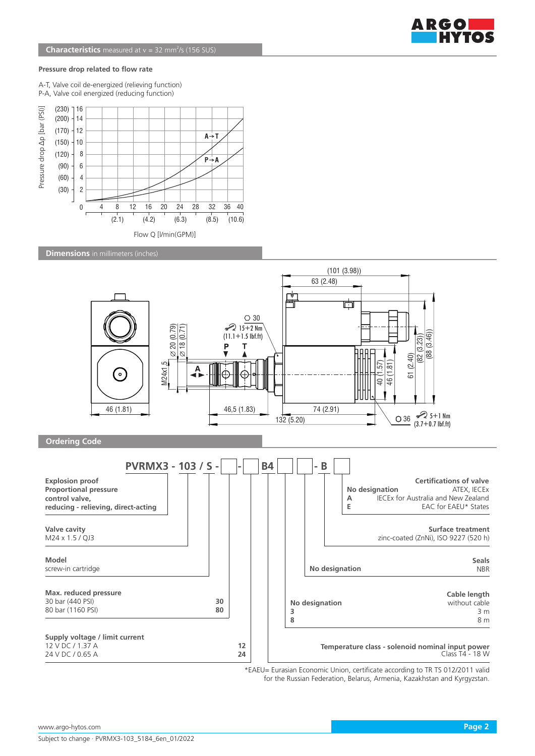

### **Pressure drop related to flow rate**

A-T, Valve coil de-energized (relieving function) P-A, Valve coil energized (reducing function)



**Dimensions** in millimeters (inches)



\*EAEU= Eurasian Economic Union, certificate according to TR TS 012/2011 valid for the Russian Federation, Belarus, Armenia, Kazakhstan and Kyrgyzstan.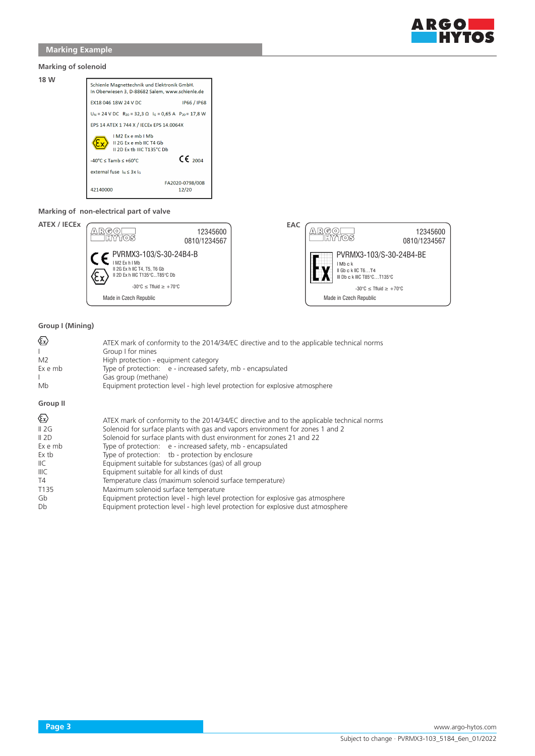

# **Marking Example**

## **Marking of solenoid**

**18 W**

| וטושוכוש ול                                                                                    |                                  |  |
|------------------------------------------------------------------------------------------------|----------------------------------|--|
| Schienle Magnettechnik und Elektronik GmbH.<br>In Oberwiesen 3, D-88682 Salem, www.schienle.de |                                  |  |
| EX18 046 18W 24 V DC                                                                           | IP66 / IP68                      |  |
| $U_N = 24$ V DC $R_{20} = 32.3 \Omega$ $I_G = 0.65$ A $P_{20} = 17.8$ W                        |                                  |  |
| EPS 14 ATEX 1 744 X / IECEx EPS 14.0064X                                                       |                                  |  |
| IM <sub>2</sub> Exemb IM <sub>b</sub><br>II 2G Ex e mb IIC T4 Gb<br>II 2D Ex th IIIC T135°C Db |                                  |  |
| $-40^{\circ}$ C $\le$ Tamb $\le$ +60 $^{\circ}$ C                                              | $\epsilon$ $\epsilon$ $\epsilon$ |  |
| external fuse $\ln 5$ 3x $\ln$                                                                 |                                  |  |
| 42140000                                                                                       | FA2020-0798/008<br>12/20         |  |

## **Marking of non-electrical part of valve**





## **Group I (Mining)**

| $\langle \epsilon_{\mathsf{x}} \rangle$<br>M <sub>2</sub><br>Ex e mb<br>Mb                                                               | ATEX mark of conformity to the 2014/34/EC directive and to the applicable technical norms<br>Group I for mines<br>High protection - equipment category<br>Type of protection: e - increased safety, mb - encapsulated<br>Gas group (methane)<br>Equipment protection level - high level protection for explosive atmosphere                                                                                                                                                                                                                                                                                                                                                                                                                           |
|------------------------------------------------------------------------------------------------------------------------------------------|-------------------------------------------------------------------------------------------------------------------------------------------------------------------------------------------------------------------------------------------------------------------------------------------------------------------------------------------------------------------------------------------------------------------------------------------------------------------------------------------------------------------------------------------------------------------------------------------------------------------------------------------------------------------------------------------------------------------------------------------------------|
| Group II                                                                                                                                 |                                                                                                                                                                                                                                                                                                                                                                                                                                                                                                                                                                                                                                                                                                                                                       |
| $\langle \epsilon_{\rm x} \rangle$<br>II 2G<br>II 2D<br>Ex e mb<br>Ex tb<br>$\mathsf{IIC}$<br>IIIC<br>T4<br>T <sub>135</sub><br>Gb<br>Db | ATEX mark of conformity to the 2014/34/EC directive and to the applicable technical norms<br>Solenoid for surface plants with gas and vapors environment for zones 1 and 2<br>Solenoid for surface plants with dust environment for zones 21 and 22<br>Type of protection: e - increased safety, mb - encapsulated<br>Type of protection: tb - protection by enclosure<br>Equipment suitable for substances (gas) of all group<br>Equipment suitable for all kinds of dust<br>Temperature class (maximum solenoid surface temperature)<br>Maximum solenoid surface temperature<br>Equipment protection level - high level protection for explosive gas atmosphere<br>Equipment protection level - high level protection for explosive dust atmosphere |